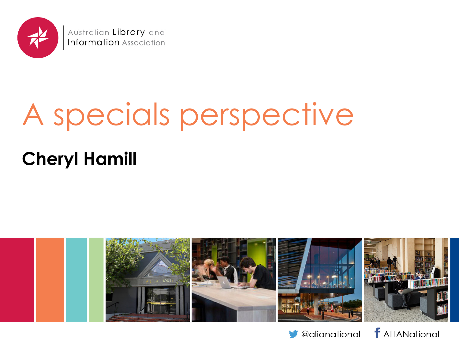

Australian Library and **Information** Association

# A specials perspective

#### **Cheryl Hamill**





*f* ALIANational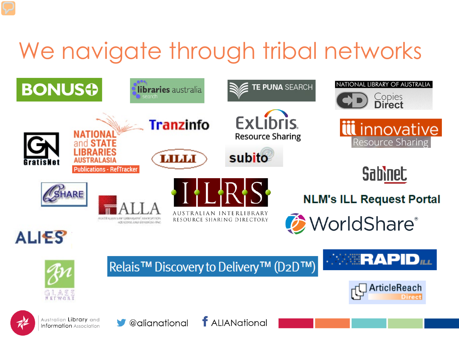## We navigate through tribal networks

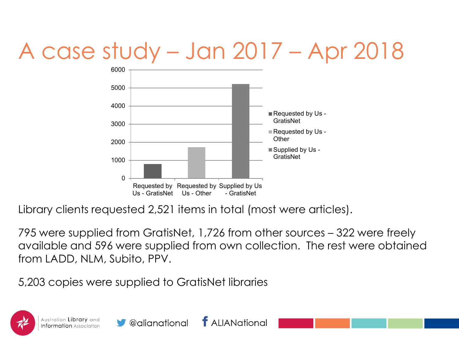## A case study – Jan 2017 – Apr 2018



Library clients requested 2,521 items in total (most were articles).

795 were supplied from GratisNet, 1,726 from other sources – 322 were freely available and 596 were supplied from own collection. The rest were obtained from LADD, NLM, Subito, PPV.

5,203 copies were supplied to GratisNet libraries

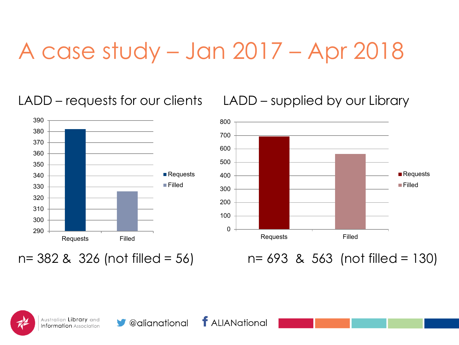#### A case study – Jan 2017 – Apr 2018

LADD – requests for our clients LADD – supplied by our Library





n= 382 & 326 (not filled = 56) n= 693 & 563 (not filled = 130)

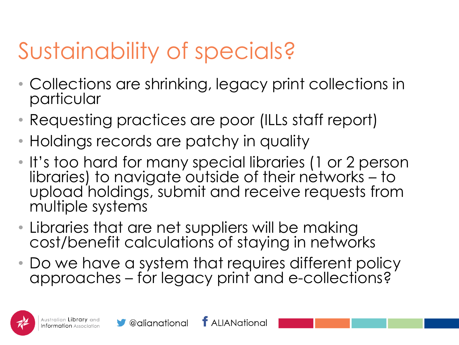## Sustainability of specials?

- Collections are shrinking, legacy print collections in particular
- Requesting practices are poor (ILLs staff report)
- Holdings records are patchy in quality
- It's too hard for many special libraries (1 or 2 person libraries) to navigate outside of their networks – to upload holdings, submit and receive requests from multiple systems
- Libraries that are net suppliers will be making cost/benefit calculations of staying in networks
- Do we have a system that requires different policy approaches – for legacy print and e-collections?

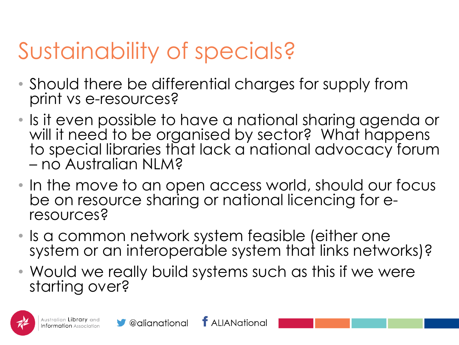### Sustainability of specials?

- Should there be differential charges for supply from print vs e-resources?
- Is it even possible to have a national sharing agenda or will it need to be organised by sector? What happens to special libraries that lack a national advocacy forum – no Australian NLM?
- In the move to an open access world, should our focus be on resource sharing or national licencing for e-<br>resources?
- Is a common network system feasible (either one system or an interoperable system that links networks)?
- Would we really build systems such as this if we were starting over?

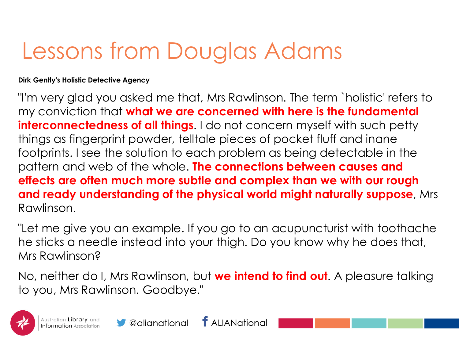#### Lessons from Douglas Adams

**Dirk Gently's Holistic Detective Agency**

"I'm very glad you asked me that, Mrs Rawlinson. The term `holistic' refers to my conviction that **what we are concerned with here is the fundamental interconnectedness of all things.** I do not concern myself with such petty things as fingerprint powder, telltale pieces of pocket fluff and inane footprints. I see the solution to each problem as being detectable in the pattern and web of the whole. **The connections between causes and effects are often much more subtle and complex than we with our rough and ready understanding of the physical world might naturally suppose**, Mrs Rawlinson.

"Let me give you an example. If you go to an acupuncturist with toothache he sticks a needle instead into your thigh. Do you know why he does that, Mrs Rawlinson?

No, neither do I, Mrs Rawlinson, but **we intend to find out**. A pleasure talking to you, Mrs Rawlinson. Goodbye."